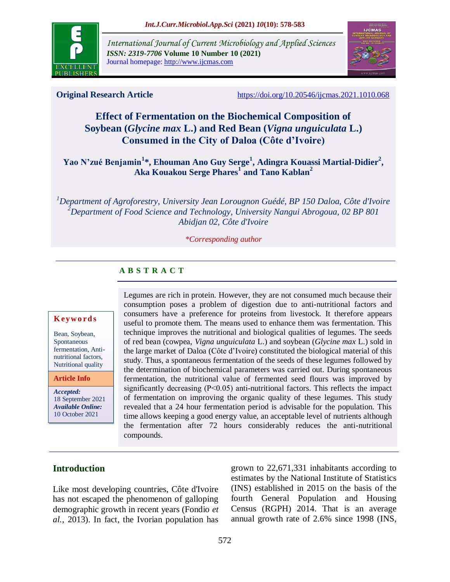

*International Journal of Current Microbiology and Applied Sciences ISSN: 2319-7706* **Volume 10 Number 10 (2021)**  Journal homepage: http://www.ijcmas.com



**Original Research Article** <https://doi.org/10.20546/ijcmas.2021.1010.068>

# **Effect of Fermentation on the Biochemical Composition of Soybean (***Glycine max* **L.) and Red Bean (***Vigna unguiculata* **L.) Consumed in the City of Daloa (Côte d'Ivoire)**

**Yao N'zué Benjamin<sup>1</sup> \*, Ehouman Ano Guy Serge<sup>1</sup> , Adingra Kouassi Martial-Didier<sup>2</sup> , Aka Kouakou Serge Phares<sup>1</sup> and Tano Kablan<sup>2</sup>**

*<sup>1</sup>Department of Agroforestry, University Jean Lorougnon Guédé, BP 150 Daloa, Côte d'Ivoire <sup>2</sup>Department of Food Science and Technology, University Nangui Abrogoua, 02 BP 801 Abidjan 02, Côte d'Ivoire*

*\*Corresponding author*

# **A B S T R A C T**

#### **K ey w o rd s**

Bean, Soybean, Spontaneous fermentation, Antinutritional factors, Nutritional quality

**Article Info**

*Accepted:*  18 September 2021 *Available Online:* 10 October 2021

Legumes are rich in protein. However, they are not consumed much because their consumption poses a problem of digestion due to anti-nutritional factors and consumers have a preference for proteins from livestock. It therefore appears useful to promote them. The means used to enhance them was fermentation. This technique improves the nutritional and biological qualities of legumes. The seeds of red bean (cowpea, *Vigna unguiculata* L.) and soybean (*Glycine max* L.) sold in the large market of Daloa (Côte d'Ivoire) constituted the biological material of this study. Thus, a spontaneous fermentation of the seeds of these legumes followed by the determination of biochemical parameters was carried out. During spontaneous fermentation, the nutritional value of fermented seed flours was improved by significantly decreasing (P˂0.05) anti-nutritional factors. This reflects the impact of fermentation on improving the organic quality of these legumes. This study revealed that a 24 hour fermentation period is advisable for the population. This time allows keeping a good energy value, an acceptable level of nutrients although the fermentation after 72 hours considerably reduces the anti-nutritional compounds.

# **Introduction**

Like most developing countries, Côte d'Ivoire has not escaped the phenomenon of galloping demographic growth in recent years (Fondio *et al.,* 2013). In fact, the Ivorian population has

grown to 22,671,331 inhabitants according to estimates by the National Institute of Statistics (INS) established in 2015 on the basis of the fourth General Population and Housing Census (RGPH) 2014. That is an average annual growth rate of 2.6% since 1998 (INS,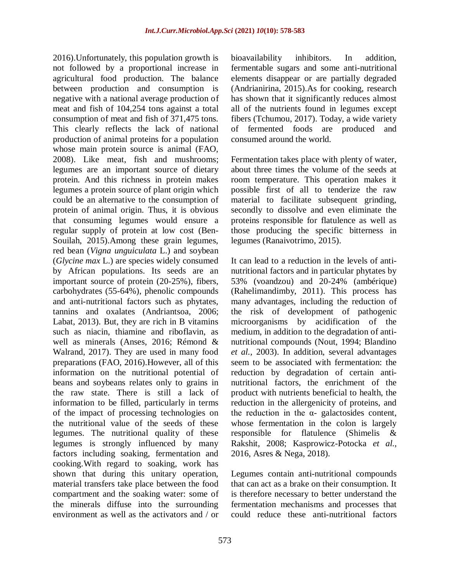2016).Unfortunately, this population growth is not followed by a proportional increase in agricultural food production. The balance between production and consumption is negative with a national average production of meat and fish of 104,254 tons against a total consumption of meat and fish of 371,475 tons. This clearly reflects the lack of national production of animal proteins for a population whose main protein source is animal (FAO, 2008). Like meat, fish and mushrooms; legumes are an important source of dietary protein. And this richness in protein makes legumes a protein source of plant origin which could be an alternative to the consumption of protein of animal origin. Thus, it is obvious that consuming legumes would ensure a regular supply of protein at low cost (Ben-Souilah, 2015).Among these grain legumes, red bean (*Vigna unguiculata* L.) and soybean (*Glycine max* L.) are species widely consumed by African populations. Its seeds are an important source of protein (20-25%), fibers, carbohydrates (55-64%), phenolic compounds and anti-nutritional factors such as phytates, tannins and oxalates (Andriantsoa, 2006; Labat, 2013). But, they are rich in B vitamins such as niacin, thiamine and riboflavin, as well as minerals (Anses, 2016; Rémond & Walrand, 2017). They are used in many food preparations (FAO, 2016).However, all of this information on the nutritional potential of beans and soybeans relates only to grains in the raw state. There is still a lack of information to be filled, particularly in terms of the impact of processing technologies on the nutritional value of the seeds of these legumes. The nutritional quality of these legumes is strongly influenced by many factors including soaking, fermentation and cooking.With regard to soaking, work has shown that during this unitary operation, material transfers take place between the food compartment and the soaking water: some of the minerals diffuse into the surrounding environment as well as the activators and / or

bioavailability inhibitors. In addition, fermentable sugars and some anti-nutritional elements disappear or are partially degraded (Andrianirina, 2015).As for cooking, research has shown that it significantly reduces almost all of the nutrients found in legumes except fibers (Tchumou, 2017). Today, a wide variety of fermented foods are produced and consumed around the world.

Fermentation takes place with plenty of water, about three times the volume of the seeds at room temperature. This operation makes it possible first of all to tenderize the raw material to facilitate subsequent grinding, secondly to dissolve and even eliminate the proteins responsible for flatulence as well as those producing the specific bitterness in legumes (Ranaivotrimo, 2015).

It can lead to a reduction in the levels of antinutritional factors and in particular phytates by 53% (voandzou) and 20-24% (ambérique) (Rahelimandimby, 2011). This process has many advantages, including the reduction of the risk of development of pathogenic microorganisms by acidification of the medium, in addition to the degradation of antinutritional compounds (Nout, 1994; Blandino *et al.,* 2003). In addition, several advantages seem to be associated with fermentation: the reduction by degradation of certain antinutritional factors, the enrichment of the product with nutrients beneficial to health, the reduction in the allergenicity of proteins, and the reduction in the  $\alpha$ - galactosides content, whose fermentation in the colon is largely responsible for flatulence (Shimelis & Rakshit, 2008; Kasprowicz-Potocka *et al.,* 2016, Asres & Nega, 2018).

Legumes contain anti-nutritional compounds that can act as a brake on their consumption. It is therefore necessary to better understand the fermentation mechanisms and processes that could reduce these anti-nutritional factors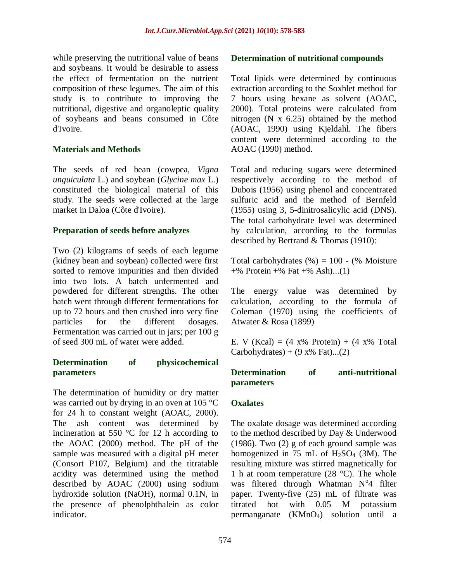while preserving the nutritional value of beans and soybeans. It would be desirable to assess the effect of fermentation on the nutrient composition of these legumes. The aim of this study is to contribute to improving the nutritional, digestive and organoleptic quality of soybeans and beans consumed in Côte d'Ivoire.

## **Materials and Methods**

The seeds of red bean (cowpea, *Vigna unguiculata* L.) and soybean (*Glycine max* L.) constituted the biological material of this study. The seeds were collected at the large market in Daloa (Côte d'Ivoire).

## **Preparation of seeds before analyzes**

Two (2) kilograms of seeds of each legume (kidney bean and soybean) collected were first sorted to remove impurities and then divided into two lots. A batch unfermented and powdered for different strengths. The other batch went through different fermentations for up to 72 hours and then crushed into very fine particles for the different dosages. Fermentation was carried out in jars; per 100 g of seed 300 mL of water were added.

# **Determination of physicochemical parameters**

The determination of humidity or dry matter was carried out by drying in an oven at 105 °C for 24 h to constant weight (AOAC, 2000). The ash content was determined by incineration at 550 °C for 12 h according to the AOAC (2000) method. The pH of the sample was measured with a digital pH meter (Consort P107, Belgium) and the titratable acidity was determined using the method described by AOAC (2000) using sodium hydroxide solution (NaOH), normal 0.1N, in the presence of phenolphthalein as color indicator.

#### **Determination of nutritional compounds**

Total lipids were determined by continuous extraction according to the Soxhlet method for 7 hours using hexane as solvent (AOAC, 2000). Total proteins were calculated from nitrogen (N x 6.25) obtained by the method (AOAC, 1990) using Kjeldahl. The fibers content were determined according to the AOAC (1990) method.

Total and reducing sugars were determined respectively according to the method of Dubois (1956) using phenol and concentrated sulfuric acid and the method of Bernfeld (1955) using 3, 5-dinitrosalicylic acid (DNS). The total carbohydrate level was determined by calculation, according to the formulas described by Bertrand & Thomas (1910):

Total carbohydrates  $(\%) = 100 - (\%$  Moisture  $+$ % Protein  $+$ % Fat  $+$ % Ash)...(1)

The energy value was determined by calculation, according to the formula of Coleman (1970) using the coefficients of Atwater & Rosa (1899)

E. V (Kcal) =  $(4 \times 96 \text{ Protein}) + (4 \times 96 \text{ Total})$ Carbohydrates) +  $(9 \times %$  Fat)...(2)

## **Determination of anti-nutritional parameters**

# **Oxalates**

The oxalate dosage was determined according to the method described by Day & Underwood (1986). Two (2) g of each ground sample was homogenized in 75 mL of  $H_2SO_4$  (3M). The resulting mixture was stirred magnetically for 1 h at room temperature (28 °C). The whole was filtered through Whatman  $N^04$  filter paper. Twenty-five (25) mL of filtrate was titrated hot with 0.05 M potassium permanganate  $(KMnO_4)$  solution until a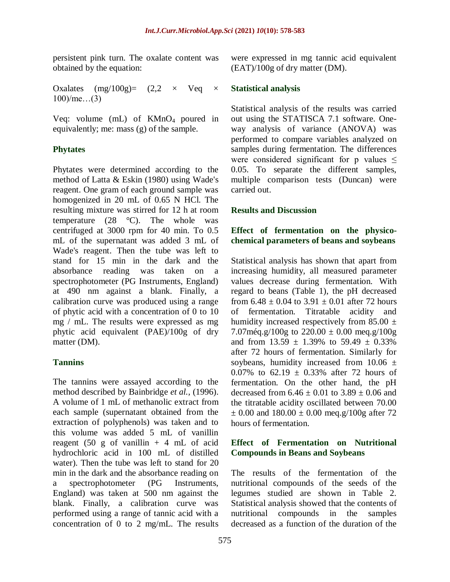persistent pink turn. The oxalate content was obtained by the equation:

Oxalates  $(mg/100g) = (2,2 \times \text{V}eq \times$ 100)/me…(3)

Veq: volume  $(mL)$  of KMnO<sub>4</sub> poured in equivalently; me: mass (g) of the sample.

# **Phytates**

Phytates were determined according to the method of Latta & Eskin (1980) using Wade's reagent. One gram of each ground sample was homogenized in 20 mL of 0.65 N HCl. The resulting mixture was stirred for 12 h at room temperature  $(28 \text{ °C})$ . The whole was centrifuged at 3000 rpm for 40 min. To 0.5 mL of the supernatant was added 3 mL of Wade's reagent. Then the tube was left to stand for 15 min in the dark and the absorbance reading was taken on a spectrophotometer (PG Instruments, England) at 490 nm against a blank. Finally, a calibration curve was produced using a range of phytic acid with a concentration of 0 to 10 mg / mL. The results were expressed as mg phytic acid equivalent (PAE)/100g of dry matter (DM).

# **Tannins**

The tannins were assayed according to the method described by Bainbridge *et al.,* (1996). A volume of 1 mL of methanolic extract from each sample (supernatant obtained from the extraction of polyphenols) was taken and to this volume was added 5 mL of vanillin reagent (50 g of vanillin  $+4$  mL of acid hydrochloric acid in 100 mL of distilled water). Then the tube was left to stand for 20 min in the dark and the absorbance reading on a spectrophotometer (PG Instruments, England) was taken at 500 nm against the blank. Finally, a calibration curve was performed using a range of tannic acid with a concentration of 0 to 2 mg/mL. The results

were expressed in mg tannic acid equivalent (EAT)/100g of dry matter (DM).

#### **Statistical analysis**

Statistical analysis of the results was carried out using the STATISCA 7.1 software. Oneway analysis of variance (ANOVA) was performed to compare variables analyzed on samples during fermentation. The differences were considered significant for p values  $\leq$ 0.05. To separate the different samples, multiple comparison tests (Duncan) were carried out.

#### **Results and Discussion**

## **Effect of fermentation on the physicochemical parameters of beans and soybeans**

Statistical analysis has shown that apart from increasing humidity, all measured parameter values decrease during fermentation. With regard to beans (Table 1), the pH decreased from  $6.48 \pm 0.04$  to  $3.91 \pm 0.01$  after 72 hours of fermentation. Titratable acidity and humidity increased respectively from 85.00  $\pm$ 7.07 $\text{m\'{e}q.g}/100\text{g}$  to 220.00  $\pm$  0.00  $\text{m\'{e}q.g}/100\text{g}$ and from  $13.59 \pm 1.39\%$  to  $59.49 \pm 0.33\%$ after 72 hours of fermentation. Similarly for soybeans, humidity increased from  $10.06 \pm$ 0.07% to 62.19  $\pm$  0.33% after 72 hours of fermentation. On the other hand, the pH decreased from  $6.46 \pm 0.01$  to  $3.89 \pm 0.06$  and the titratable acidity oscillated between 70.00  $\pm$  0.00 and 180.00  $\pm$  0.00 meg.g/100g after 72 hours of fermentation.

## **Effect of Fermentation on Nutritional Compounds in Beans and Soybeans**

The results of the fermentation of the nutritional compounds of the seeds of the legumes studied are shown in Table 2. Statistical analysis showed that the contents of nutritional compounds in the samples decreased as a function of the duration of the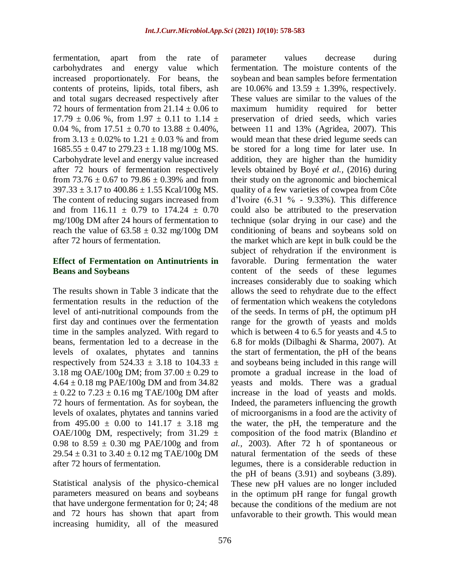fermentation, apart from the rate of carbohydrates and energy value which increased proportionately. For beans, the contents of proteins, lipids, total fibers, ash and total sugars decreased respectively after 72 hours of fermentation from  $21.14 \pm 0.06$  to  $17.79 \pm 0.06$  %, from  $1.97 \pm 0.11$  to  $1.14 \pm$ 0.04 %, from  $17.51 \pm 0.70$  to  $13.88 \pm 0.40$ %, from  $3.13 \pm 0.02\%$  to  $1.21 \pm 0.03\%$  and from  $1685.55 \pm 0.47$  to  $279.23 \pm 1.18$  mg/100g MS. Carbohydrate level and energy value increased after 72 hours of fermentation respectively from 73.76  $\pm$  0.67 to 79.86  $\pm$  0.39% and from  $397.33 \pm 3.17$  to  $400.86 \pm 1.55$  Kcal/100g MS. The content of reducing sugars increased from and from  $116.11 \pm 0.79$  to  $174.24 \pm 0.70$ mg/100g DM after 24 hours of fermentation to reach the value of  $63.58 \pm 0.32$  mg/100g DM after 72 hours of fermentation.

#### **Effect of Fermentation on Antinutrients in Beans and Soybeans**

The results shown in Table 3 indicate that the fermentation results in the reduction of the level of anti-nutritional compounds from the first day and continues over the fermentation time in the samples analyzed. With regard to beans, fermentation led to a decrease in the levels of oxalates, phytates and tannins respectively from  $524.33 \pm 3.18$  to  $104.33 \pm 1.18$ 3.18 mg OAE/100g DM; from  $37.00 \pm 0.29$  to  $4.64 \pm 0.18$  mg PAE/100g DM and from 34.82  $\pm$  0.22 to 7.23  $\pm$  0.16 mg TAE/100g DM after 72 hours of fermentation. As for soybean, the levels of oxalates, phytates and tannins varied from 495.00  $\pm$  0.00 to 141.17  $\pm$  3.18 mg OAE/100g DM, respectively; from  $31.29 \pm$ 0.98 to  $8.59 \pm 0.30$  mg PAE/100g and from  $29.54 \pm 0.31$  to  $3.40 \pm 0.12$  mg TAE/100g DM after 72 hours of fermentation.

Statistical analysis of the physico-chemical parameters measured on beans and soybeans that have undergone fermentation for 0; 24; 48 and 72 hours has shown that apart from increasing humidity, all of the measured

parameter values decrease during fermentation. The moisture contents of the soybean and bean samples before fermentation are 10.06% and  $13.59 \pm 1.39$ %, respectively. These values are similar to the values of the maximum humidity required for better preservation of dried seeds, which varies between 11 and 13% (Agridea, 2007). This would mean that these dried legume seeds can be stored for a long time for later use. In addition, they are higher than the humidity levels obtained by Boyé *et al.,* (2016) during their study on the agronomic and biochemical quality of a few varieties of cowpea from Côte d'Ivoire  $(6.31 \text{ %} - 9.33\text{ %})$ . This difference could also be attributed to the preservation technique (solar drying in our case) and the conditioning of beans and soybeans sold on the market which are kept in bulk could be the subject of rehydration if the environment is favorable. During fermentation the water content of the seeds of these legumes increases considerably due to soaking which allows the seed to rehydrate due to the effect of fermentation which weakens the cotyledons of the seeds. In terms of pH, the optimum pH range for the growth of yeasts and molds which is between 4 to 6.5 for yeasts and 4.5 to 6.8 for molds (Dilbaghi & Sharma, 2007). At the start of fermentation, the pH of the beans and soybeans being included in this range will promote a gradual increase in the load of yeasts and molds. There was a gradual increase in the load of yeasts and molds. Indeed, the parameters influencing the growth of microorganisms in a food are the activity of the water, the pH, the temperature and the composition of the food matrix (Blandino *et al.,* 2003). After 72 h of spontaneous or natural fermentation of the seeds of these legumes, there is a considerable reduction in the pH of beans (3.91) and soybeans (3.89). These new pH values are no longer included in the optimum pH range for fungal growth because the conditions of the medium are not unfavorable to their growth. This would mean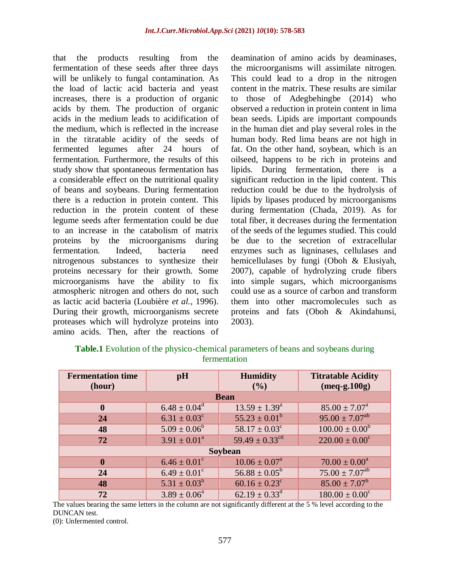that the products resulting from the fermentation of these seeds after three days will be unlikely to fungal contamination. As the load of lactic acid bacteria and yeast increases, there is a production of organic acids by them. The production of organic acids in the medium leads to acidification of the medium, which is reflected in the increase in the titratable acidity of the seeds of fermented legumes after 24 hours of fermentation. Furthermore, the results of this study show that spontaneous fermentation has a considerable effect on the nutritional quality of beans and soybeans. During fermentation there is a reduction in protein content. This reduction in the protein content of these legume seeds after fermentation could be due to an increase in the catabolism of matrix proteins by the microorganisms during fermentation. Indeed, bacteria need nitrogenous substances to synthesize their proteins necessary for their growth. Some microorganisms have the ability to fix atmospheric nitrogen and others do not, such as lactic acid bacteria (Loubière *et al.,* 1996). During their growth, microorganisms secrete proteases which will hydrolyze proteins into amino acids. Then, after the reactions of deamination of amino acids by deaminases, the microorganisms will assimilate nitrogen. This could lead to a drop in the nitrogen content in the matrix. These results are similar to those of Adegbehingbe (2014) who observed a reduction in protein content in lima bean seeds. Lipids are important compounds in the human diet and play several roles in the human body. Red lima beans are not high in fat. On the other hand, soybean, which is an oilseed, happens to be rich in proteins and lipids. During fermentation, there is a significant reduction in the lipid content. This reduction could be due to the hydrolysis of lipids by lipases produced by microorganisms during fermentation (Chada, 2019). As for total fiber, it decreases during the fermentation of the seeds of the legumes studied. This could be due to the secretion of extracellular enzymes such as ligninases, cellulases and hemicellulases by fungi (Oboh & Elusiyah, 2007), capable of hydrolyzing crude fibers into simple sugars, which microorganisms could use as a source of carbon and transform them into other macromolecules such as proteins and fats (Oboh & Akindahunsi, 2003).

| <b>Fermentation time</b><br>(hour) | pH                      | <b>Humidity</b><br>(9/0)       | <b>Titratable Acidity</b><br>$(meq-g.100g)$ |  |  |  |
|------------------------------------|-------------------------|--------------------------------|---------------------------------------------|--|--|--|
| <b>Bean</b>                        |                         |                                |                                             |  |  |  |
| $\boldsymbol{0}$                   | $6.48 \pm 0.04^d$       | $13.59 \pm 1.39^{\circ}$       | $85.00 \pm 7.07^{\circ}$                    |  |  |  |
| 24                                 | $6.31 \pm 0.03^c$       | $55.23 \pm 0.01^b$             | $95.00 \pm 7.07^{ab}$                       |  |  |  |
| 48                                 | $5.09 \pm 0.06^b$       | $58.17 \pm 0.03^c$             | $100.00 \pm 0.00^b$                         |  |  |  |
| 72                                 | $3.91 \pm 0.01^a$       | $59.49 \pm 0.33$ <sup>cd</sup> | $220.00 \pm 0.00^c$                         |  |  |  |
| Soybean                            |                         |                                |                                             |  |  |  |
| $\mathbf{0}$                       | $6.46 \pm 0.01^{\circ}$ | $10.06 \pm 0.07^{\text{a}}$    | $70.00 \pm 0.00^a$                          |  |  |  |
| 24                                 | $6.49 \pm 0.01^{\circ}$ | $56.88 \pm 0.05^b$             | $75.00 \pm 7.07$ <sup>ab</sup>              |  |  |  |
| 48                                 | $5.31 \pm 0.03^b$       | $60.16 \pm 0.23$ <sup>c</sup>  | $85.00 \pm 7.07^b$                          |  |  |  |
| 72                                 | $3.89 \pm 0.06^a$       | $62.19 \pm 0.33^{\text{d}}$    | $180.00 \pm 0.00^c$                         |  |  |  |

| <b>Table.1</b> Evolution of the physico-chemical parameters of beans and soybeans during |  |  |  |  |  |
|------------------------------------------------------------------------------------------|--|--|--|--|--|
| fermentation                                                                             |  |  |  |  |  |

The values bearing the same letters in the column are not significantly different at the 5 % level according to the DUNCAN test.

(0): Unfermented control.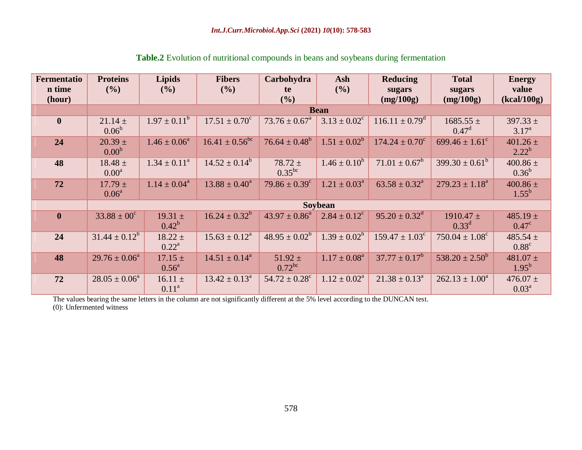| <b>Fermentatio</b><br>n time<br>(hour) | <b>Proteins</b><br>(%)           | <b>Lipids</b><br>$($ %)       | <b>Fibers</b><br>(%)      | Carbohydra<br>te<br>(9/0)   | Ash<br>(%)                 | <b>Reducing</b><br>sugars<br>(mg/100g) | <b>Total</b><br>sugars<br>(mg/100g) | <b>Energy</b><br>value<br>(kcal/100g) |
|----------------------------------------|----------------------------------|-------------------------------|---------------------------|-----------------------------|----------------------------|----------------------------------------|-------------------------------------|---------------------------------------|
|                                        |                                  | <b>Bean</b>                   |                           |                             |                            |                                        |                                     |                                       |
| $\mathbf{0}$                           | $21.14 \pm$<br>0.06 <sup>b</sup> | $1.97 \pm 0.11^b$             | $17.51 \pm 0.70^c$        | $73.76 \pm 0.67^{\text{a}}$ | $3.13 \pm 0.02^c$          | $116.11 \pm 0.79^{\rm d}$              | $1685.55 \pm$<br>$0.47^{\rm d}$     | $397.33 \pm$<br>$3.17^{\rm a}$        |
| 24                                     | $20.39 \pm$<br>0.00 <sup>b</sup> | $1.46 \pm 0.06^a$             | $16.41 \pm 0.56^{\rm bc}$ | $76.64 \pm 0.48^b$          | $1.51 \pm 0.02^b$          | $174.24 \pm 0.70^{\circ}$              | 699.46 $\pm 1.61^{\circ}$           | $401.26 \pm$<br>$2.22^{b}$            |
| 48                                     | $18.48 \pm$<br>0.00 <sup>a</sup> | $1.34 \pm 0.11^a$             | $14.52 \pm 0.14^b$        | $78.72 \pm$<br>$0.35^{bc}$  | $1.46 \pm 0.10^b$          | $71.01 \pm 0.67^b$                     | $399.30 \pm 0.61^b$                 | $400.86 \pm$<br>$0.36^{b}$            |
| 72                                     | $17.79 \pm$<br>$0.06^{\rm a}$    | $1.14 \pm 0.04^a$             | $13.88 \pm 0.40^a$        | $79.86 \pm 0.39^c$          | $1.21 \pm 0.03^{\text{a}}$ | $63.58 \pm 0.32^{\text{a}}$            | $279.23 \pm 1.18^a$                 | $400.86 \pm$<br>$1.55^{b}$            |
|                                        | Soybean                          |                               |                           |                             |                            |                                        |                                     |                                       |
| $\mathbf{0}$                           | $33.88 \pm 00^{\circ}$           | $19.31 \pm$<br>$0.42^b$       | $16.24 \pm 0.32^b$        | $43.97 \pm 0.86^a$          | $2.84 \pm 0.12^{\circ}$    | $95.20 \pm 0.32^d$                     | $1910.47 \pm$<br>$0.33^d$           | $485.19 \pm$<br>$0.47^{\circ}$        |
| 24                                     | $31.44 \pm 0.12^b$               | $18.22 \pm$<br>$0.22^{\rm a}$ | $15.63 \pm 0.12^a$        | $48.95 \pm 0.02^b$          | $1.39 \pm 0.02^b$          | $159.47 \pm 1.03^c$                    | $750.04 \pm 1.08^{\circ}$           | 485.54 $\pm$<br>$0.88^{\circ}$        |
| 48                                     | $29.76 \pm 0.06^a$               | $17.15 \pm$<br>$0.56^{\circ}$ | $14.51 \pm 0.14^a$        | $51.92 \pm$<br>$0.72^{bc}$  | $1.17 \pm 0.08^{\text{a}}$ | $37.77 \pm 0.17^b$                     | $538.20 \pm 2.50^b$                 | $481.07 \pm$<br>$1.95^{b}$            |
| 72                                     | $28.05 \pm 0.06^a$               | $16.11 \pm$<br>$0.11^a$       | $13.42 \pm 0.13^{\circ}$  | $54.72 \pm 0.28^c$          | $1.12 \pm 0.02^{\text{a}}$ | $21.38 \pm 0.13^a$                     | $262.13 \pm 1.00^a$                 | $476.07 \pm$<br>$0.03^{\rm a}$        |

# **Table.2** Evolution of nutritional compounds in beans and soybeans during fermentation

The values bearing the same letters in the column are not significantly different at the 5% level according to the DUNCAN test.

(0): Unfermented witness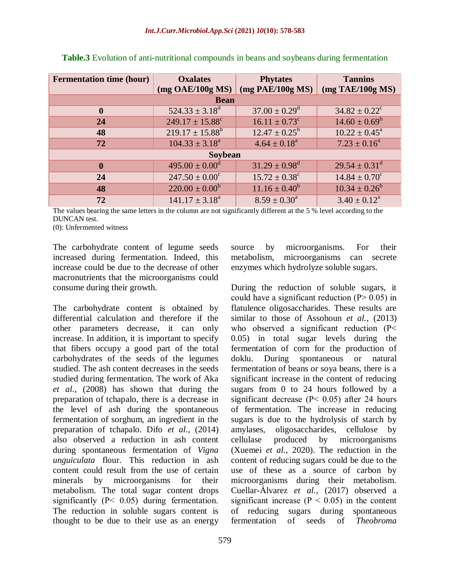| <b>Fermentation time (hour)</b>                                                              | <b>Oxalates</b><br>(mg OAE/100g MS) | <b>Phytates</b><br>$(mg \text{ PAE}/100g \text{ MS})$ | <b>Tannins</b><br>$(mg$ TAE/100g MS) |  |  |  |
|----------------------------------------------------------------------------------------------|-------------------------------------|-------------------------------------------------------|--------------------------------------|--|--|--|
| <b>Bean</b>                                                                                  |                                     |                                                       |                                      |  |  |  |
| $37.00 \pm 0.29$ <sup>d</sup><br>$524.33 \pm 3.18^d$<br>$34.82 \pm 0.22^{\circ}$<br>$\bf{0}$ |                                     |                                                       |                                      |  |  |  |
|                                                                                              |                                     |                                                       |                                      |  |  |  |
| 24                                                                                           | $249.17 \pm 15.88^{\circ}$          | $16.11 \pm 0.73$ <sup>c</sup>                         | $14.60 \pm 0.69^b$                   |  |  |  |
| 48                                                                                           | $219.17 \pm 15.88^b$                | $12.47 \pm 0.25^{\rm b}$                              | $10.22 \pm 0.45^{\circ}$             |  |  |  |
| 72                                                                                           | $104.33 \pm 3.18^a$                 | $4.64 \pm 0.18^a$                                     | $7.23 \pm 0.16^a$                    |  |  |  |
| <b>Soybean</b>                                                                               |                                     |                                                       |                                      |  |  |  |
| $\mathbf{0}$                                                                                 | $495.00 \pm 0.00^{\circ}$           | $31.29 \pm 0.98$ <sup>d</sup>                         | $29.54 \pm 0.31^{\text{d}}$          |  |  |  |
| 24                                                                                           | $247.50 \pm 0.00^c$                 | $15.72 \pm 0.38^c$                                    | $14.84 \pm 0.70^c$                   |  |  |  |
| 48                                                                                           | $220.00 \pm 0.00^b$                 | $11.16 \pm 0.40^b$                                    | $10.34 \pm 0.26^b$                   |  |  |  |
| 72                                                                                           | $141.17 \pm 3.18^a$                 | $8.59 \pm 0.30^a$                                     | $3.40 \pm 0.12^a$                    |  |  |  |

**Table.3** Evolution of anti-nutritional compounds in beans and soybeans during fermentation

The values bearing the same letters in the column are not significantly different at the 5 % level according to the DUNCAN test.

(0): Unfermented witness

The carbohydrate content of legume seeds increased during fermentation. Indeed, this increase could be due to the decrease of other macronutrients that the microorganisms could consume during their growth.

The carbohydrate content is obtained by differential calculation and therefore if the other parameters decrease, it can only increase. In addition, it is important to specify that fibers occupy a good part of the total carbohydrates of the seeds of the legumes studied. The ash content decreases in the seeds studied during fermentation. The work of Aka *et al.,* (2008) has shown that during the preparation of tchapalo, there is a decrease in the level of ash during the spontaneous fermentation of sorghum, an ingredient in the preparation of tchapalo. Difo *et al.,* (2014) also observed a reduction in ash content during spontaneous fermentation of *Vigna unguiculata* flour. This reduction in ash content could result from the use of certain minerals by microorganisms for their metabolism. The total sugar content drops significantly (P< 0.05) during fermentation. The reduction in soluble sugars content is thought to be due to their use as an energy

source by microorganisms. For their metabolism, microorganisms can secrete enzymes which hydrolyze soluble sugars.

During the reduction of soluble sugars, it could have a significant reduction  $(P > 0.05)$  in flatulence oligosaccharides. These results are similar to those of Assohoun *et al.,* (2013) who observed a significant reduction (P< 0.05) in total sugar levels during the fermentation of corn for the production of doklu. During spontaneous or natural fermentation of beans or soya beans, there is a significant increase in the content of reducing sugars from 0 to 24 hours followed by a significant decrease ( $P < 0.05$ ) after 24 hours of fermentation. The increase in reducing sugars is due to the hydrolysis of starch by amylases, oligosaccharides, cellulose by cellulase produced by microorganisms (Xuemei *et al.,* 2020). The reduction in the content of reducing sugars could be due to the use of these as a source of carbon by microorganisms during their metabolism. Cuellar-Álvarez *et al.,* (2017) observed a significant increase ( $P < 0.05$ ) in the content of reducing sugars during spontaneous fermentation of seeds of *Theobroma*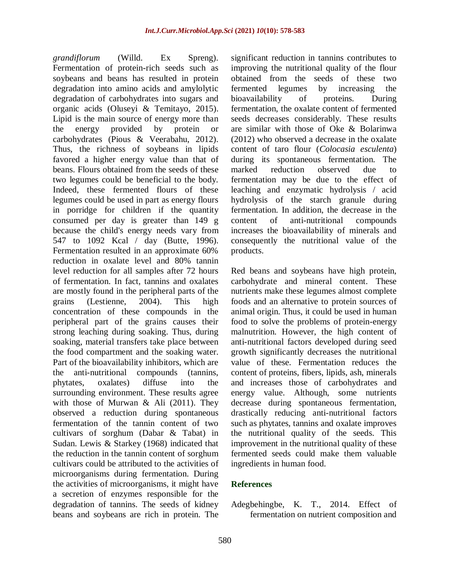*grandiflorum* (Willd. Ex Spreng). Fermentation of protein-rich seeds such as soybeans and beans has resulted in protein degradation into amino acids and amylolytic degradation of carbohydrates into sugars and organic acids (Oluseyi & Temitayo, 2015). Lipid is the main source of energy more than the energy provided by protein or carbohydrates (Pious & Veerabahu, 2012). Thus, the richness of soybeans in lipids favored a higher energy value than that of beans. Flours obtained from the seeds of these two legumes could be beneficial to the body. Indeed, these fermented flours of these legumes could be used in part as energy flours in porridge for children if the quantity consumed per day is greater than 149 g because the child's energy needs vary from 547 to 1092 Kcal / day (Butte, 1996). Fermentation resulted in an approximate 60% reduction in oxalate level and 80% tannin level reduction for all samples after 72 hours of fermentation. In fact, tannins and oxalates are mostly found in the peripheral parts of the grains (Lestienne, 2004). This high concentration of these compounds in the peripheral part of the grains causes their strong leaching during soaking. Thus, during soaking, material transfers take place between the food compartment and the soaking water. Part of the bioavailability inhibitors, which are the anti-nutritional compounds (tannins, phytates, oxalates) diffuse into the surrounding environment. These results agree with those of Murwan & Ali (2011). They observed a reduction during spontaneous fermentation of the tannin content of two cultivars of sorghum (Dabar & Tabat) in Sudan. Lewis & Starkey (1968) indicated that the reduction in the tannin content of sorghum cultivars could be attributed to the activities of microorganisms during fermentation. During the activities of microorganisms, it might have a secretion of enzymes responsible for the degradation of tannins. The seeds of kidney beans and soybeans are rich in protein. The significant reduction in tannins contributes to improving the nutritional quality of the flour obtained from the seeds of these two fermented legumes by increasing the bioavailability of proteins. During fermentation, the oxalate content of fermented seeds decreases considerably. These results are similar with those of Oke & Bolarinwa (2012) who observed a decrease in the oxalate content of taro flour (*Colocasia esculenta*) during its spontaneous fermentation. The marked reduction observed due to fermentation may be due to the effect of leaching and enzymatic hydrolysis / acid hydrolysis of the starch granule during fermentation. In addition, the decrease in the content of anti-nutritional compounds increases the bioavailability of minerals and consequently the nutritional value of the products.

Red beans and soybeans have high protein, carbohydrate and mineral content. These nutrients make these legumes almost complete foods and an alternative to protein sources of animal origin. Thus, it could be used in human food to solve the problems of protein-energy malnutrition. However, the high content of anti-nutritional factors developed during seed growth significantly decreases the nutritional value of these. Fermentation reduces the content of proteins, fibers, lipids, ash, minerals and increases those of carbohydrates and energy value. Although, some nutrients decrease during spontaneous fermentation, drastically reducing anti-nutritional factors such as phytates, tannins and oxalate improves the nutritional quality of the seeds. This improvement in the nutritional quality of these fermented seeds could make them valuable ingredients in human food.

#### **References**

Adegbehingbe, K. T., 2014. Effect of fermentation on nutrient composition and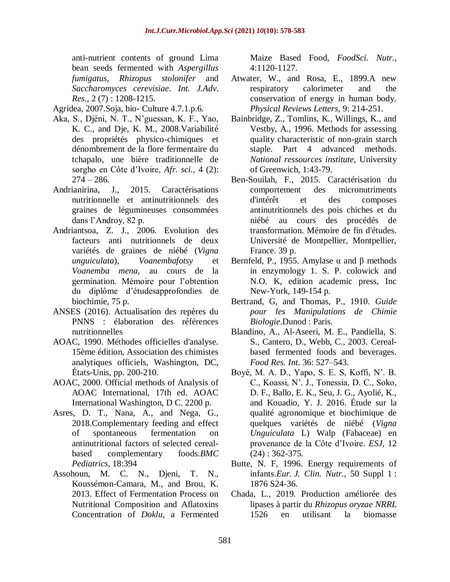anti-nutrient contents of ground Lima bean seeds fermented with *Aspergillus fumigatus*, *Rhizopus stolonifer* and *Saccharomyces cerevisiae*. *Int. J.Adv. Res.*, 2 (7) : 1208-1215.

Agridea, 2007.Soja, bio- Culture 4.7.1.p.6.

- Aka, S., Djéni, N. T., N'guessan, K. F., Yao, K. C., and Dje, K. M., 2008.Variabilité des propriétés physico-chimiques et dénombrement de la flore fermentaire du tchapalo, une bière traditionnelle de sorgho en Côte d'Ivoire, *Afr. sci.*, 4 (2):  $274 - 286.$
- Andrianirina, J., 2015. Caractérisations nutritionnelle et antinutritionnels des graines de légumineuses consommées dans l'Androy, 82 p.
- Andriantsoa, Z. J., 2006. Evolution des facteurs anti nutritionnels de deux variétés de graines de niébé (*Vigna unguiculata*), *Voanembafotsy* et *Voanemba mena*, au cours de la germination. Mémoire pour l'obtention du diplôme d'étudesapprofondies de biochimie, 75 p.
- ANSES (2016). Actualisation des repères du PNNS : élaboration des références nutritionnelles
- AOAC, 1990. Méthodes officielles d'analyse. 15ème édition, Association des chimistes analytiques officiels, Washington, DC, États-Unis, pp. 200-210.
- AOAC, 2000. Official methods of Analysis of AOAC International, 17th ed. AOAC International Washington, D C. 2200 p.
- Asres, D. T., Nana, A., and Nega, G., 2018.Complementary feeding and effect of spontaneous fermentation on antinutritional factors of selected cerealbased complementary foods.*BMC Pediatrics*, 18:394
- Assohoun, M. C. N., Djeni, T. N., Koussémon-Camara, M., and Brou, K. 2013. Effect of Fermentation Process on Nutritional Composition and Aflatoxins Concentration of *Doklu*, a Fermented

Maize Based Food, *FoodSci. Nutr.,*  4:1120-1127.

- Atwater, W., and Rosa, E., 1899.A new respiratory calorimeter and the conservation of energy in human body. *Physical Reviews Letters*, 9: 214-251.
- Bainbridge, Z., Tomlins, K., Willings, K., and Vestby, A., 1996. Methods for assessing quality characteristic of non-grain starch staple. Part 4 advanced methods. *National ressources institute,* University of Greenwich, 1:43-79.
- Ben-Souilah, F., 2015. Caractérisation du comportement des micronutriments d'intérêt et des composes antinutritionnels des pois chiches et du niébé au cours des procédés de transformation. Mémoire de fin d'études. Université de Montpellier, Montpellier, France. 39 p.
- Bernfeld, P., 1955. Amylase  $\alpha$  and β methods in enzymology 1. S. P. colowick and N.O. K, edition academic press, Inc New-York, 149-154 p.
- Bertrand, G, and Thomas, P., 1910. *Guide pour les Manipulations de Chimie Biologie*.Dunod : Paris.
- Blandino, A., Al-Aseeri, M. E., Pandiella, S. S., Cantero, D., Webb, C., 2003. Cerealbased fermented foods and beverages. *Food Res. Int*. 36: 527–543.
- Boyé, M. A. D., Yapo, S. E. S, Koffi, N'. B. C., Koassi, N'. J., Tonessia, D. C., Soko, D. F., Ballo, E. K., Seu, J. G., Ayolié, K., and Kouadio, Y. J. 2016. Étude sur la qualité agronomique et biochimique de quelques variétés de niébé (*Vigna Unguiculata* L) Walp (Fabaceae) en provenance de la Côte d'Ivoire. *ESJ,* 12 (24) : 362-375.
- Butte, N. F, 1996. Energy requirements of infants.*Eur. J. Clin. Nutr.*, 50 Suppl 1 : 1876 S24-36.
- Chada, L., 2019. Production améliorée des lipases à partir du *Rhizopus oryzae NRRL* 1526 en utilisant la biomasse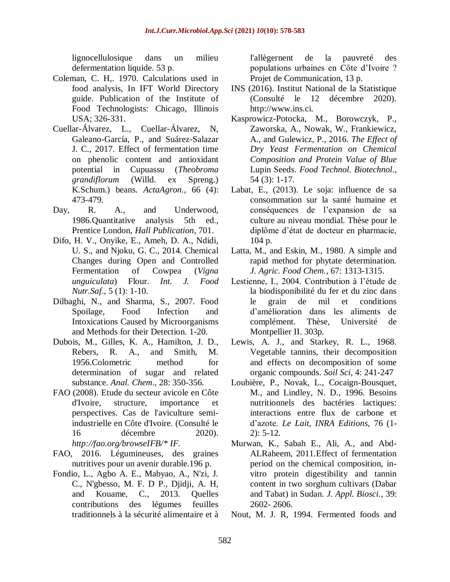lignocellulosique dans un milieu defermentation liquide. 53 p.

- Coleman, C. H,. 1970. Calculations used in food analysis, In IFT World Directory guide. Publication of the Institute of Food Technologists: Chicago, Illinois USA; 326-331.
- Cuellar-Álvarez, L., Cuellar-Álvarez, N, Galeano-García, P., and Suárez-Salazar J. C., 2017. Effect of fermentation time on phenolic content and antioxidant potential in Cupuassu (*Theobroma grandiflorum* (Willd. ex Spreng.) K.Schum.) beans. *ActaAgron.*, 66 (4): 473-479.
- Day, R. A., and Underwood, 1986.Quantitative analysis 5th ed., Prentice London, *Hall Publication*, 701.
- Difo, H. V., Onyike, E., Ameh, D. A., Ndidi, U. S., and Njoku, G. C., 2014. Chemical Changes during Open and Controlled Fermentation of Cowpea (*Vigna unguiculata*) Flour. *Int. J. Food Nutr.Saf.*, 5 (1): 1-10.
- Dilbaghi, N., and Sharma, S., 2007. Food Spoilage, Food Infection and Intoxications Caused by Microorganisms and Methods for their Detection. 1-20.
- Dubois, M., Gilles, K. A., Hamilton, J. D., Rebers, R. A., and Smith, M. 1956.Colometric method for determination of sugar and related substance. *Anal. Chem*., 28: 350-356.
- FAO (2008). Etude du secteur avicole en Côte d'Ivoire, structure, importance et perspectives. Cas de l'aviculture semiindustrielle en Côte d'Ivoire. (Consulté le 16 décembre 2020). *[http://fao.org/browseIFB/\\*](http://fao.org/browseIFB/*) [IF.](http://fao.org/browseIFB/*)*
- FAO, 2016. Légumineuses, des graines nutritives pour un avenir durable.196 p.
- Fondio, L., Agbo A. E., Mabyao, A., N'zi, J. C., N'gbesso, M. F. D P., Djidji, A. H, and Kouame, C., 2013. Quelles contributions des légumes feuilles traditionnels à la sécurité alimentaire et à

l'allègernent de la pauvreté des populations urbaines en Côte d'Ivoire ? Projet de Communication, 13 p.

- INS (2016). Institut National de la Statistique (Consulté le 12 décembre 2020). [http://www.ins.ci.](http://www.ins.ci/)
- Kasprowicz-Potocka, M., Borowczyk, P., Zaworska, A., Nowak, W., Frankiewicz, A., and Gulewicz, P., 2016. *The Effect of Dry Yeast Fermentation on Chemical Composition and Protein Value of Blue*  Lupin Seeds. *Food Technol. Biotechnol.,* 54 (3): 1-17.
- Labat, E., (2013). Le soja: influence de sa consommation sur la santé humaine et conséquences de l'expansion de sa culture au niveau mondial. Thèse pour le diplôme d'état de docteur en pharmacie, 104 p.
- Latta, M., and Eskin, M., 1980. A simple and rapid method for phytate determination. *J. Agric. Food Chem.*, 67: 1313-1315.
- Lestienne, I., 2004. Contribution à l'étude de la biodisponibilité du fer et du zinc dans le grain de mil et conditions d'amélioration dans les aliments de complément. Thèse, Université de Montpellier II. 303p.
- Lewis, A. J., and Starkey, R. L., 1968. Vegetable tannins, their decomposition and effects on decomposition of some organic compounds. *Soil Sci,* 4: 241-247
- Loubière, P., Novak, L., Cocaign-Bousquet, M., and Lindley, N. D., 1996. Besoins nutritionnels des bactéries lactiques: interactions entre flux de carbone et d'azote. *Le Lait, INRA Editions,* 76 (1- 2): 5-12.
- Murwan, K., Sabah E., Ali, A., and Abd-ALRaheem, 2011.Effect of fermentation period on the chemical composition, invitro protein digestibility and tannin content in two sorghum cultivars (Dabar and Tabat) in Sudan. *J. Appl. Biosci.*, 39: 2602- 2606.
- Nout, M. J. R, 1994. Fermented foods and